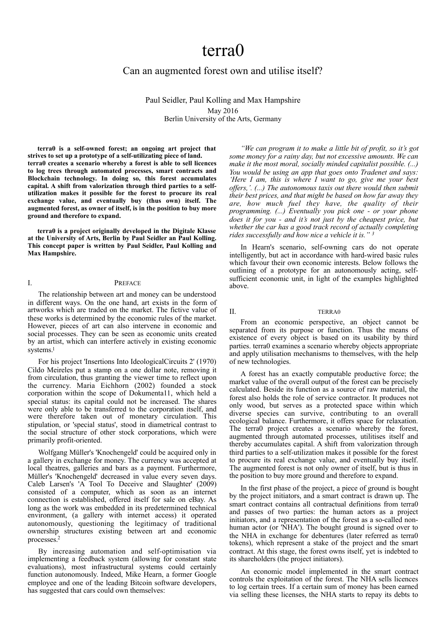# terra0

## Can an augmented forest own and utilise itself?

Paul Seidler, Paul Kolling and Max Hampshire May 2016 Berlin University of the Arts, Germany

**terra0 is a self-owned forest; an ongoing art project that strives to set up a prototype of a self-utilizating piece of land. terra0 creates a scenario whereby a forest is able to sell licences to log trees through automated processes, smart contracts and Blockchain technology. In doing so, this forest accumulates capital. A shift from valorization through third parties to a selfutilization makes it possible for the forest to procure its real exchange value, and eventually buy (thus own) itself. The augmented forest, as owner of itself, is in the position to buy more ground and therefore to expand.** 

**terra0 is a project originally developed in the Digitale Klasse at the University of Arts, Berlin by Paul Seidler an Paul Kolling. This concept paper is written by Paul Seidler, Paul Kolling and Max Hampshire.** 

#### I. PREFACE

The relationship between art and money can be understood in different ways. On the one hand, art exists in the form of artworks which are traded on the market. The fictive value of these works is determined by the economic rules of the market. However, pieces of art can also intervene in economic and social processes. They can be seen as economic units created by an artist, which can interfere actively in existing economic systems[.1](#page-5-0)

<span id="page-0-0"></span>For his project 'Insertions Into IdeologicalCircuits 2' (1970) Cildo Meireles put a stamp on a one dollar note, removing it from circulation, thus granting the viewer time to reflect upon the currency. Maria Eichhorn (2002) founded a stock corporation within the scope of Dokumenta11, which held a special status: its capital could not be increased. The shares were only able to be transferred to the corporation itself, and were therefore taken out of monetary circulation. This stipulation, or 'special status', stood in diametrical contrast to the social structure of other stock corporations, which were primarily profit-oriented.

Wolfgang Müller's 'Knochengeld' could be acquired only in a gallery in exchange for money. The currency was accepted at local theatres, galleries and bars as a payment. Furthermore, Müller's 'Knochengeld' decreased in value every seven days. Caleb Larsen's 'A Tool To Deceive and Slaughter' (2009) consisted of a computer, which as soon as an internet connection is established, offered itself for sale on eBay. As long as the work was embedded in its predetermined technical environment, (a gallery with internet access) it operated autonomously, questioning the legitimacy of traditional ownership structures existing between art and economic processes[.2](#page-5-1)

<span id="page-0-1"></span>By increasing automation and self-optimisation via implementing a feedback system (allowing for constant state evaluations), most infrastructural systems could certainly function autonomously. Indeed, Mike Hearn, a former Google employee and one of the leading Bitcoin software developers, has suggested that cars could own themselves:

*"We can program it to make a little bit of profit, so it's got some money for a rainy day, but not excessive amounts. We can make it the most moral, socially minded capitalist possible. (...) You would be using an app that goes onto Tradenet and says: 'Here I am, this is where I want to go, give me your best offers,'. (...) The autonomous taxis out there would then submit their best prices, and that might be based on how far away they are, how much fuel they have, the quality of their programming. (...) Eventually you pick one - or your phone does it for you - and it's not just by the cheapest price, but whether the car has a good track record of actually completing rides successfully and how nice a vehicle it is." [3](#page-5-2)*

<span id="page-0-2"></span>In Hearn's scenario, self-owning cars do not operate intelligently, but act in accordance with hard-wired basic rules which favour their own economic interests. Below follows the outlining of a prototype for an autonomously acting, selfsufficient economic unit, in light of the examples highlighted above.

#### II. TERRA0

From an economic perspective, an object cannot be separated from its purpose or function. Thus the means of existence of every object is based on its usability by third parties. terra0 examines a scenario whereby objects appropriate and apply utilisation mechanisms to themselves, with the help of new technologies.

A forest has an exactly computable productive force; the market value of the overall output of the forest can be precisely calculated. Beside its function as a source of raw material, the forest also holds the role of service contractor. It produces not only wood, but serves as a protected space within which diverse species can survive, contributing to an overall ecological balance. Furthermore, it offers space for relaxation. The terra0 project creates a scenario whereby the forest, augmented through automated processes, utilitises itself and thereby accumulates capital. A shift from valorization through third parties to a self-utilization makes it possible for the forest to procure its real exchange value, and eventually buy itself. The augmented forest is not only owner of itself, but is thus in the position to buy more ground and therefore to expand.

In the first phase of the project, a piece of ground is bought by the project initiators, and a smart contract is drawn up. The smart contract contains all contractual definitions from terra0 and passes of two parties: the human actors as a project initiators, and a representation of the forest as a so-called nonhuman actor (or 'NHA'). The bought ground is signed over to the NHA in exchange for debentures (later referred as terra0 tokens), which represent a stake of the project and the smart contract. At this stage, the forest owns itself, yet is indebted to its shareholders (the project initiators).

An economic model implemented in the smart contract controls the exploitation of the forest. The NHA sells licences to log certain trees. If a certain sum of money has been earned via selling these licenses, the NHA starts to repay its debts to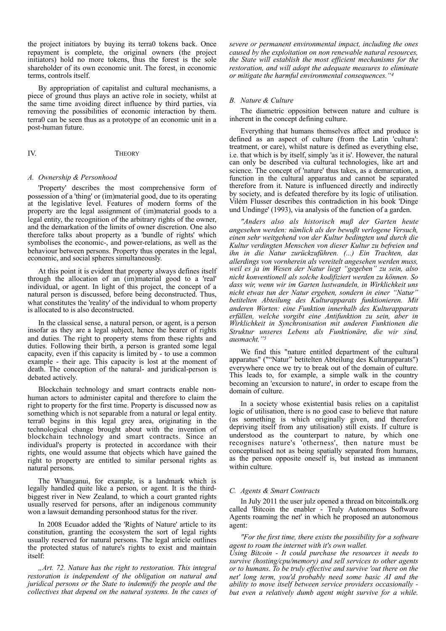the project initiators by buying its terra0 tokens back. Once repayment is complete, the original owners (the project initiators) hold no more tokens, thus the forest is the sole shareholder of its own economic unit. The forest, in economic terms, controls itself.

By appropriation of capitalist and cultural mechanisms, a piece of ground thus plays an active role in society, whilst at the same time avoiding direct influence by third parties, via removing the possibilities of economic interaction by them. terra0 can be seen thus as a prototype of an economic unit in a post-human future.

## IV. THEORY

#### *A. Ownership & Personhood*

'Property' describes the most comprehensive form of possession of a 'thing' or (im)material good, due to its operating at the legislative level. Features of modern forms of the property are the legal assignment of (im)material goods to a legal entity, the recognition of the arbitrary rights of the owner, and the demarkation of the limits of owner discretion. One also therefore talks about property as a 'bundle of rights' which symbolises the economic-, and power-relations, as well as the behaviour between persons. Property thus operates in the legal, economic, and social spheres simultaneously.

At this point it is evident that property always defines itself through the allocation of an (im)material good to a 'real' individual, or agent. In light of this project, the concept of a natural person is discussed, before being deconstructed. Thus, what constitutes the 'reality' of the individual to whom property is allocated to is also deconstructed.

In the classical sense, a natural person, or agent, is a person insofar as they are a legal subject, hence the bearer of rights and duties. The right to property stems from these rights and duties. Following their birth, a person is granted some legal capacity, even if this capacity is limited by - to use a common example - their age. This capacity is lost at the moment of death. The conception of the natural- and juridical-person is debated actively.

Blockchain technology and smart contracts enable nonhuman actors to administer capital and therefore to claim the right to property for the first time. Property is discussed now as something which is not separable from a natural or legal entity. terra0 begins in this legal grey area, originating in the technological change brought about with the invention of blockchain technology and smart contracts. Since an individual's property is protected in accordance with their rights, one would assume that objects which have gained the right to property are entitled to similar personal rights as natural persons.

The Whanganui, for example, is a landmark which is legally handled quite like a person, or agent. It is the thirdbiggest river in New Zealand, to which a court granted rights usually reserved for persons, after an indigenous community won a lawsuit demanding personhood status for the river.

In 2008 Ecuador added the 'Rights of Nature' article to its constitution, granting the ecosystem the sort of legal rights usually reserved for natural persons. The legal article outlines the protected status of nature's rights to exist and maintain itself:

*"Art. 72. Nature has the right to restoration. This integral restoration is independent of the obligation on natural and juridical persons or the State to indemnify the people and the collectives that depend on the natural systems. In the cases of*  *severe or permanent environmental impact, including the ones caused by the exploitation on non renewable natural resources, the State will establish the most efficient mechanisms for the restoration, and will adopt the adequate measures to eliminate or mitigate the harmful environmental consequences."[4](#page-5-3)*

#### <span id="page-1-0"></span>*B. Nature & Culture*

The diametric opposition between nature and culture is inherent in the concept defining culture.

Everything that humans themselves affect and produce is defined as an aspect of culture (from the Latin 'cultura': treatment, or care), whilst nature is defined as everything else, i.e. that which is by itself, simply 'as it is'. However, the natural can only be described via cultural technologies, like art and science. The concept of 'nature' thus takes, as a demarcation, a function in the cultural apparatus and cannot be separated therefore from it. Nature is influenced directly and indirectly by society, and is defeated therefore by its logic of utilisation. Vilém Flusser describes this contradiction in his book 'Dinge und Undinge' (1993), via analysis of the function of a garden.

*"Anders also als historisch muß der Garten heute angesehen werden: nämlich als der bewußt verlogene Versuch, einen sehr weitgehend von der Kultur bedingten und durch die Kultur verdingten Menschen von dieser Kultur zu befreien und ihn in die Natur zurückzuführen. (...) Ein Trachten, das allerdings von vornherein als vereitelt angesehen werden muss, weil es ja im Wesen der Natur liegt "gegeben" zu sein, also nicht konventionell als solche kodifiziert werden zu können. So dass wir, wenn wir im Garten lustwandeln, in Wirklichkeit uns nicht etwas tun der Natur ergehen, sondern in einer "Natur" betitelten Abteilung des Kulturapparats funktionieren. Mit anderen Worten: eine Funktion innerhalb des Kulturapparats erfüllen, welche vorgibt eine Antifunktion zu sein, aber in Wirklichkeit in Synchronisation mit anderen Funktionen die Struktur unseres Lebens als Funktionäre, die wir sind, ausmacht."[5](#page-5-4)*

<span id="page-1-1"></span>We find this "nature entitled department of the cultural apparatus" (""Natur" betitelten Abteilung des Kulturapparats") everywhere once we try to break out of the domain of culture. This leads to, for example, a simple walk in the country becoming an 'excursion to nature', in order to escape from the domain of culture.

In a society whose existential basis relies on a capitalist logic of utilisation, there is no good case to believe that nature (as something is which originally given, and therefore depriving itself from any utilisation) still exists. If culture is understood as the counterpart to nature, by which one recognises nature's 'otherness', then nature must be conceptualised not as being spatially separated from humans, as the person opposite oneself is, but instead as immanent within culture.

#### *C. Agents & Smart Contracts*

In July 2011 the user julz opened a thread on bitcointalk.org called 'Bitcoin the enabler - Truly Autonomous Software Agents roaming the net' in which he proposed an autonomous agent:

*"For the first time, there exists the possibility for a software agent to roam the internet with it's own wallet. Using Bitcoin - It could purchase the resources it needs to survive (hosting/cpu/memory) and sell services to other agents or to humans. To be truly effective and survive 'out there on the net' long term, you'd probably need some basic AI and the ability to move itself between service providers occasionally but even a relatively dumb agent might survive for a while.*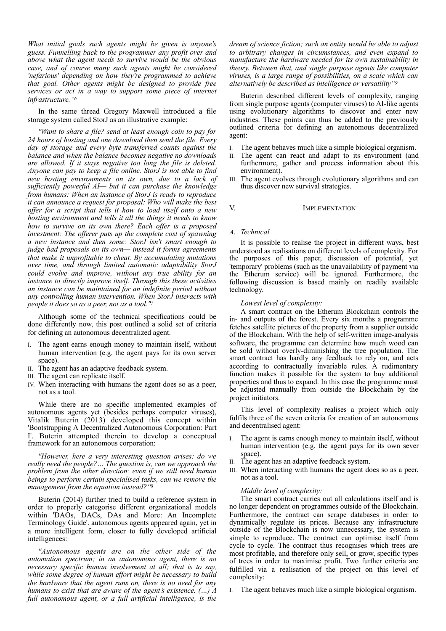*What initial goals such agents might be given is anyone's guess. Funnelling back to the programmer any profit over and above what the agent needs to survive would be the obvious case, and of course many such agents might be considered 'nefarious' depending on how they're programmed to achieve that goal. Other agents might be designed to provide free services or act in a way to support some piece of internet infrastructure.["6](#page-5-5)*

<span id="page-2-0"></span>In the same thread Gregory Maxwell introduced a file storage system called StorJ as an illustrative example:

*"Want to share a file? send at least enough coin to pay for 24 hours of hosting and one download then send the file. Every day of storage and every byte transferred counts against the balance and when the balance becomes negative no downloads are allowed. If it stays negative too long the file is deleted. Anyone can pay to keep a file online. StorJ is not able to find new hosting environments on its own, due to a lack of sufficiently powerful AI— but it can purchase the knowledge from humans: When an instance of StorJ is ready to reproduce it can announce a request for proposal: Who will make the best offer for a script that tells it how to load itself onto a new hosting environment and tells it all the things it needs to know how to survive on its own there? Each offer is a proposed investment: The offerer puts up the complete cost of spawning a new instance and then some: StorJ isn't smart enough to judge bad proposals on its own— instead it forms agreements that make it unprofitable to cheat. By accumulating mutations over time, and through limited automatic adaptability StorJ could evolve and improve, without any true ability for an instance to directly improve itself. Through this these activities an instance can be maintained for an indefinite period without any controlling human intervention. When StorJ interacts with people it does so as a peer, not as a tool.["7](#page-5-6)*

Although some of the technical specifications could be done differently now, this post outlined a solid set of criteria for defining an autonomous decentralized agent.

- I. The agent earns enough money to maintain itself, without human intervention (e.g. the agent pays for its own server space).
- II. The agent has an adaptive feedback system.
- III. The agent can replicate itself.
- IV. When interacting with humans the agent does so as a peer, not as a tool.

While there are no specific implemented examples of autonomous agents yet (besides perhaps computer viruses), Vitalik Buterin (2013) developed this concept within 'Bootstrapping A Decentralized Autonomous Corporation: Part I'. Buterin attempted therein to develop a conceptual framework for an autonomous corporation:

*"However, here a very interesting question arises: do we really need the people?… The question is, can we approach the problem from the other direction: even if we still need human beings to perform certain specialised tasks, can we remove the management from the equation instead?["8](#page-5-7)*

Buterin (2014) further tried to build a reference system in order to properly categorise different organizational models within 'DAOs, DACs, DAs and More: An Incomplete Terminology Guide'. autonomous agents appeared again, yet in a more intelligent form, closer to fully developed artificial intelligences:

*"Autonomous agents are on the other side of the automation spectrum; in an autonomous agent, there is no necessary specific human involvement at all; that is to say, while some degree of human effort might be necessary to build the hardware that the agent runs on, there is no need for any humans to exist that are aware of the agent's existence. (…) A full autonomous agent, or a full artificial intelligence, is the* 

*dream of science fiction; such an entity would be able to adjust to arbitrary changes in circumstances, and even expand to manufacture the hardware needed for its own sustainability in theory. Between that, and single purpose agents like computer viruses, is a large range of possibilities, on a scale which can alternatively be described as intelligence or versatility["9](#page-5-8)*

<span id="page-2-3"></span>Buterin described different levels of complexity, ranging from single purpose agents (computer viruses) to AI-like agents using evolutionary algorithms to discover and enter new industries. These points can thus be added to the previously outlined criteria for defining an autonomous decentralized agent:

- I. The agent behaves much like a simple biological organism.
- The agent can react and adapt to its environment (and furthermore, gather and process information about this environment).
- III. The agent evolves through evolutionary algorithms and can thus discover new survival strategies.

V. **IMPLEMENTATION** 

#### *A. Technical*

It is possible to realise the project in different ways, best understood as realisations on different levels of complexity. For the purposes of this paper, discussion of potential, yet 'temporary' problems (such as the unavailability of payment via the Etherum service) will be ignored. Furthermore, the following discussion is based mainly on readily available technology.

#### *Lowest level of complexity:*

<span id="page-2-1"></span>A smart contract on the Etherum Blockchain controls the in- and outputs of the forest. Every six months a programme fetches satellite pictures of the property from a supplier outside of the Blockchain. With the help of self-written image-analysis software, the programme can determine how much wood can be sold without overly-diminishing the tree population. The smart contract has hardly any feedback to rely on, and acts according to contractually invariable rules. A rudimentary function makes it possible for the system to buy additional properties and thus to expand. In this case the programme must be adjusted manually from outside the Blockchain by the project initiators.

This level of complexity realises a project which only fulfils three of the seven criteria for creation of an autonomous and decentralised agent:

- I. The agent is earns enough money to maintain itself, without human intervention (e.g. the agent pays for its own sever space).
- II. The agent has an adaptive feedback system.
- III. When interacting with humans the agent does so as a peer, not as a tool.

#### *Middle level of complexity:*

<span id="page-2-2"></span>The smart contract carries out all calculations itself and is no longer dependent on programmes outside of the Blockchain. Furthermore, the contract can scrape databases in order to dynamically regulate its prices. Because any infrastructure outside of the Blockchain is now unnecessary, the system is simple to reproduce. The contract can optimise itself from cycle to cycle. The contract thus recognises which trees are most profitable, and therefore only sell, or grow, specific types of trees in order to maximise profit. Two further criteria are fulfilled via a realisation of the project on this level of complexity:

I. The agent behaves much like a simple biological organism.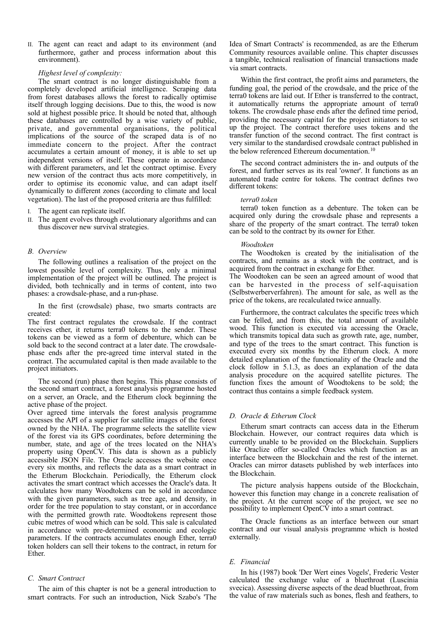II. The agent can react and adapt to its environment (and furthermore, gather and process information about this environment).

#### *Highest level of complexity:*

The smart contract is no longer distinguishable from a completely developed artificial intelligence. Scraping data from forest databases allows the forest to radically optimise itself through logging decisions. Due to this, the wood is now sold at highest possible price. It should be noted that, although these databases are controlled by a wise variety of public, private, and governmental organisations, the political implications of the source of the scraped data is of no immediate concern to the project. After the contract accumulates a certain amount of money, it is able to set up independent versions of itself. These operate in accordance with different parameters, and let the contract optimise. Every new version of the contract thus acts more competitively, in order to optimise its economic value, and can adapt itself dynamically to different zones (according to climate and local vegetation). The last of the proposed criteria are thus fulfilled:

- I. The agent can replicate itself.
- II. The agent evolves through evolutionary algorithms and can thus discover new survival strategies.

#### *B. Overview*

The following outlines a realisation of the project on the lowest possible level of complexity. Thus, only a minimal implementation of the project will be outlined. The project is divided, both technically and in terms of content, into two phases: a crowdsale-phase, and a run-phase.

In the first (crowdsale) phase, two smarts contracts are created:

The first contract regulates the crowdsale. If the contract receives ether, it returns terra0 tokens to the sender. These tokens can be viewed as a form of debenture, which can be sold back to the second contract at a later date. The crowdsalephase ends after the pre-agreed time interval stated in the contract. The accumulated capital is then made available to the project initiators.

The second (run) phase then begins. This phase consists of the second smart contract, a forest analysis programme hosted on a server, an Oracle, and the Etherum clock beginning the active phase of the project.

Over agreed time intervals the forest analysis programme accesses the API of a supplier for satellite images of the forest owned by the NHA. The programme selects the satellite view of the forest via its GPS coordinates, before determining the number, state, and age of the trees located on the NHA's property using OpenCV. This data is shown as a publicly accessible JSON File. The Oracle accesses the website once every six months, and reflects the data as a smart contract in the Etherum Blockchain. Periodically, the Etherum clock activates the smart contract which accesses the Oracle's data. It calculates how many Woodtokens can be sold in accordance with the given parameters, such as tree age, and density, in order for the tree population to stay constant, or in accordance with the permitted growth rate. Woodtokens represent those cubic metres of wood which can be sold. This sale is calculated in accordance with pre-determined economic and ecologic parameters. If the contracts accumulates enough Ether, terra0 token holders can sell their tokens to the contract, in return for Ether.

### *C. Smart Contract*

The aim of this chapter is not be a general introduction to smart contracts. For such an introduction, Nick Szabo's 'The Idea of Smart Contracts' is recommended, as are the Etherum Community resources available online. This chapter discusses a tangible, technical realisation of financial transactions made via smart contracts.

Within the first contract, the profit aims and parameters, the funding goal, the period of the crowdsale, and the price of the terra0 tokens are laid out. If Ether is transferred to the contract, it automatically returns the appropriate amount of terra0 tokens. The crowdsale phase ends after the defined time period, providing the necessary capital for the project initiators to set up the project. The contract therefore uses tokens and the transfer function of the second contract. The first contract is very similar to the standardised crowdsale contract published in the below referenced Ethereum documentation.<sup>[10](#page-5-9)</sup>

The second contract administers the in- and outputs of the forest, and further serves as its real 'owner'. It functions as an automated trade centre for tokens. The contract defines two different tokens:

#### <span id="page-3-0"></span>*terra0 token*

terra0 token function as a debenture. The token can be acquired only during the crowdsale phase and represents a share of the property of the smart contract. The terra0 token can be sold to the contract by its owner for Ether.

#### *Woodtoken*

The Woodtoken is created by the initialisation of the contracts, and remains as a stock with the contract, and is acquired from the contract in exchange for Ether.

The Woodtoken can be seen an agreed amount of wood that can be harvested in the process of self-aquisation (Selbstwerberverfahren). The amount for sale, as well as the price of the tokens, are recalculated twice annually.

Furthermore, the contract calculates the specific trees which can be felled, and from this, the total amount of available wood. This function is executed via accessing the Oracle, which transmits topical data such as growth rate, age, number, and type of the trees to the smart contract. This function is executed every six months by the Etherum clock. A more detailed explanation of the functionality of the Oracle and the clock follow in 5.1.3, as does an explanation of the data analysis procedure on the acquired satellite pictures. The function fixes the amount of Woodtokens to be sold; the contract thus contains a simple feedback system.

#### *D. Oracle & Etherum Clock*

Etherum smart contracts can access data in the Etherum Blockchain. However, our contract requires data which is currently unable to be provided on the Blockchain. Suppliers like Oraclize offer so-called Oracles which function as an interface between the Blockchain and the rest of the internet. Oracles can mirror datasets published by web interfaces into the Blockchain.

The picture analysis happens outside of the Blockchain, however this function may change in a concrete realisation of the project. At the current scope of the project, we see no possibility to implement OpenCV into a smart contract.

The Oracle functions as an interface between our smart contract and our visual analysis programme which is hosted externally.

#### *E. Financial*

In his (1987) book 'Der Wert eines Vogels', Frederic Vester calculated the exchange value of a bluethroat (Luscinia svecica). Assessing diverse aspects of the dead bluethroat, from the value of raw materials such as bones, flesh and feathers, to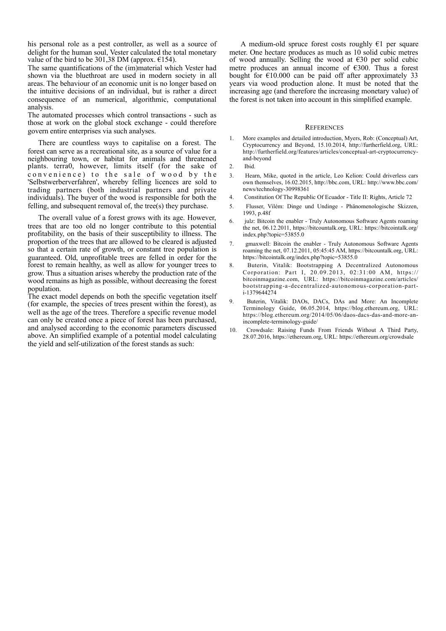his personal role as a pest controller, as well as a source of delight for the human soul, Vester calculated the total monetary value of the bird to be 301,38 DM (approx.  $\epsilon$ 154).

The same quantifications of the (im)material which Vester had shown via the bluethroat are used in modern society in all areas. The behaviour of an economic unit is no longer based on the intuitive decisions of an individual, but is rather a direct consequence of an numerical, algorithmic, computational analysis.

The automated processes which control transactions - such as those at work on the global stock exchange - could therefore govern entire enterprises via such analyses.

There are countless ways to capitalise on a forest. The forest can serve as a recreational site, as a source of value for a neighbouring town, or habitat for animals and threatened plants. terra0, however, limits itself (for the sake of convenience) to the sale of wood by the 'Selbstwerberverfahren', whereby felling licences are sold to trading partners (both industrial partners and private individuals). The buyer of the wood is responsible for both the felling, and subsequent removal of, the tree(s) they purchase.

The overall value of a forest grows with its age. However, trees that are too old no longer contribute to this potential profitability, on the basis of their susceptibility to illness. The proportion of the trees that are allowed to be cleared is adjusted so that a certain rate of growth, or constant tree population is guaranteed. Old, unprofitable trees are felled in order for the forest to remain healthy, as well as allow for younger trees to grow. Thus a situation arises whereby the production rate of the wood remains as high as possible, without decreasing the forest population.

The exact model depends on both the specific vegetation itself (for example, the species of trees present within the forest), as well as the age of the trees. Therefore a specific revenue model can only be created once a piece of forest has been purchased, and analysed according to the economic parameters discussed above. An simplified example of a potential model calculating the yield and self-utilization of the forest stands as such:

A medium-old spruce forest costs roughly  $E1$  per square meter. One hectare produces as much as 10 solid cubic metres of wood annually. Selling the wood at  $\epsilon$ 30 per solid cubic metre produces an annual income of €300. Thus a forest bought for  $E10.000$  can be paid off after approximately 33 years via wood production alone. It must be noted that the increasing age (and therefore the increasing monetary value) of the forest is not taken into account in this simplified example.

#### **REFERENCES**

- 1. More examples and detailed introduction, Myers, Rob: (Conceptual) Art, Cryptocurrency and Beyond, 15.10.2014, http://furtherfield.org, URL: http://furtherfield.org/features/articles/conceptual-art-cryptocurrencyand-beyond
- 2. Ibid.
- 3. Hearn, Mike, quoted in the article, Leo Kelion: Could driverless cars own themselves, 16.02.2015, http://bbc.com, URL: http://www.bbc.com/ news/technology-30998361
- 4. Constitution Of The Republic Of Ecuador Title II: Rights, Article 72
- 5. Flusser, Vilém: Dinge und Undinge Phänomenologische Skizzen, 1993, p.48f
- 6. julz: Bitcoin the enabler Truly Autonomous Software Agents roaming the net, 06.12.2011, https://bitcountalk.org, URL: https://bitcointalk.org/ index.php?topic=53855.0
- 7. gmaxwell: Bitcoin the enabler Truly Autonomous Software Agents roaming the net, 07.12.2011, 05:45:45 AM, https://bitcountalk.org, URL: https://bitcointalk.org/index.php?topic=53855.0
- 8. Buterin, Vitalik: Bootstrapping A Decentralized Autonomous Corporation: Part I, 20.09.2013, 02:31:00 AM, https:// bitcoinmagazine.com, URL: https://bitcoinmagazine.com/articles/ bootstrapping-a-decentralized-autonomous-corporation-parti-1379644274
- 9. Buterin, Vitalik: DAOs, DACs, DAs and More: An Incomplete Terminology Guide, 06.05.2014, https://blog.ethereum.org, URL: https://blog.ethereum.org/2014/05/06/daos-dacs-das-and-more-anincomplete-terminology-guide/
- 10. Crowdsale: Raising Funds From Friends Without A Third Party, 28.07.2016, https://ethereum.org, URL: https://ethereum.org/crowdsale